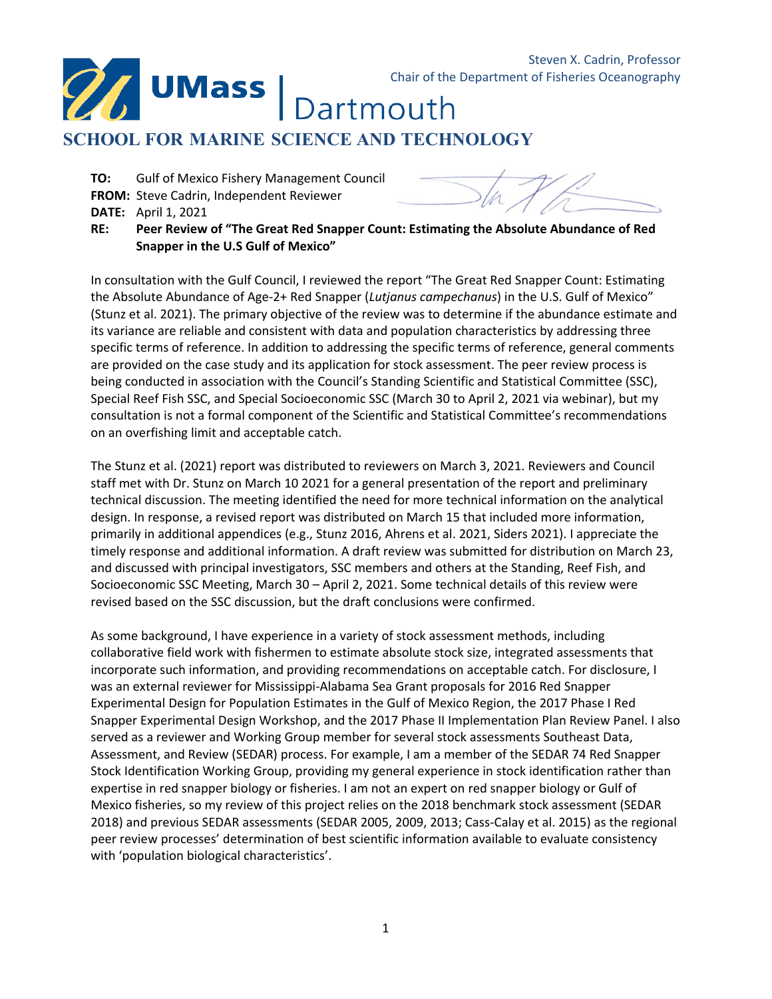Dartmouth

# **SCHOOL FOR MARINE SCIENCE AND TECHNOLOGY**

**TO:** Gulf of Mexico Fishery Management Council

**FROM:** Steve Cadrin, Independent Reviewer

**UMass** 

**DATE:** April 1, 2021

**RE: Peer Review of "The Great Red Snapper Count: Estimating the Absolute Abundance of Red Snapper in the U.S Gulf of Mexico"**

In consultation with the Gulf Council, I reviewed the report "The Great Red Snapper Count: Estimating the Absolute Abundance of Age-2+ Red Snapper (*Lutjanus campechanus*) in the U.S. Gulf of Mexico" (Stunz et al. 2021). The primary objective of the review was to determine if the abundance estimate and its variance are reliable and consistent with data and population characteristics by addressing three specific terms of reference. In addition to addressing the specific terms of reference, general comments are provided on the case study and its application for stock assessment. The peer review process is being conducted in association with the Council's Standing Scientific and Statistical Committee (SSC), Special Reef Fish SSC, and Special Socioeconomic SSC (March 30 to April 2, 2021 via webinar), but my consultation is not a formal component of the Scientific and Statistical Committee's recommendations on an overfishing limit and acceptable catch.

The Stunz et al. (2021) report was distributed to reviewers on March 3, 2021. Reviewers and Council staff met with Dr. Stunz on March 10 2021 for a general presentation of the report and preliminary technical discussion. The meeting identified the need for more technical information on the analytical design. In response, a revised report was distributed on March 15 that included more information, primarily in additional appendices (e.g., Stunz 2016, Ahrens et al. 2021, Siders 2021). I appreciate the timely response and additional information. A draft review was submitted for distribution on March 23, and discussed with principal investigators, SSC members and others at the Standing, Reef Fish, and Socioeconomic SSC Meeting, March 30 – April 2, 2021. Some technical details of this review were revised based on the SSC discussion, but the draft conclusions were confirmed.

As some background, I have experience in a variety of stock assessment methods, including collaborative field work with fishermen to estimate absolute stock size, integrated assessments that incorporate such information, and providing recommendations on acceptable catch. For disclosure, I was an external reviewer for Mississippi-Alabama Sea Grant proposals for 2016 Red Snapper Experimental Design for Population Estimates in the Gulf of Mexico Region, the 2017 Phase I Red Snapper Experimental Design Workshop, and the 2017 Phase II Implementation Plan Review Panel. I also served as a reviewer and Working Group member for several stock assessments Southeast Data, Assessment, and Review (SEDAR) process. For example, I am a member of the SEDAR 74 Red Snapper Stock Identification Working Group, providing my general experience in stock identification rather than expertise in red snapper biology or fisheries. I am not an expert on red snapper biology or Gulf of Mexico fisheries, so my review of this project relies on the 2018 benchmark stock assessment (SEDAR 2018) and previous SEDAR assessments (SEDAR 2005, 2009, 2013; Cass-Calay et al. 2015) as the regional peer review processes' determination of best scientific information available to evaluate consistency with 'population biological characteristics'.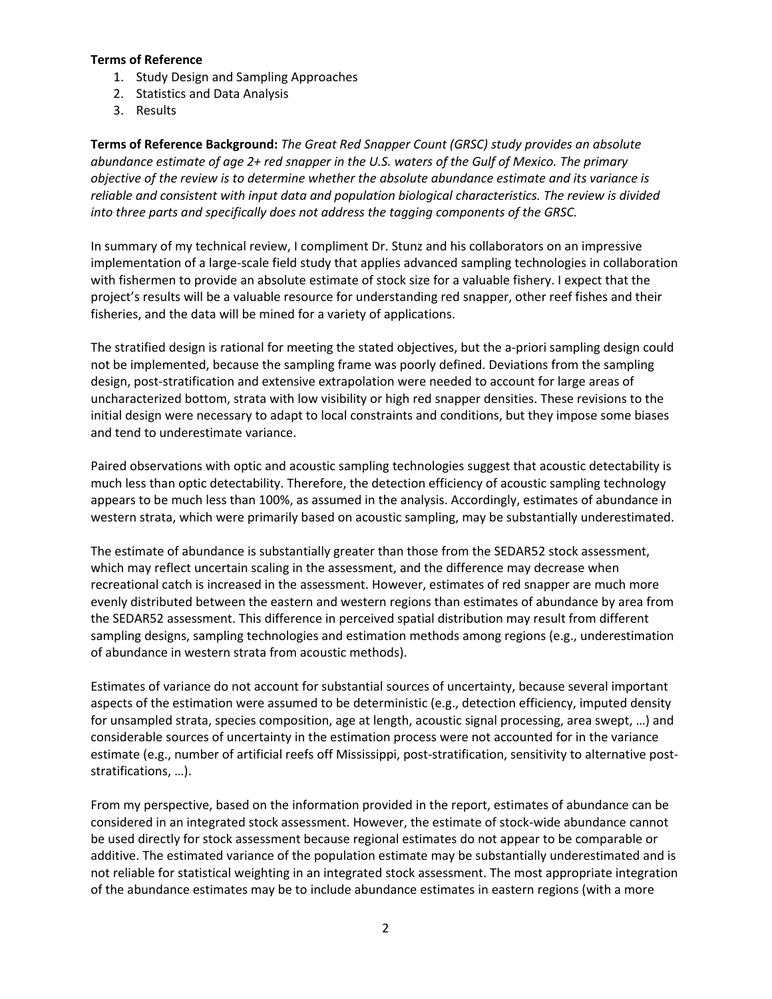#### **Terms of Reference**

- 1. Study Design and Sampling Approaches
- 2. Statistics and Data Analysis
- 3. Results

**Terms of Reference Background:** *The Great Red Snapper Count (GRSC) study provides an absolute abundance estimate of age 2+ red snapper in the U.S. waters of the Gulf of Mexico. The primary objective of the review is to determine whether the absolute abundance estimate and its variance is reliable and consistent with input data and population biological characteristics. The review is divided into three parts and specifically does not address the tagging components of the GRSC.*

In summary of my technical review, I compliment Dr. Stunz and his collaborators on an impressive implementation of a large-scale field study that applies advanced sampling technologies in collaboration with fishermen to provide an absolute estimate of stock size for a valuable fishery. I expect that the project's results will be a valuable resource for understanding red snapper, other reef fishes and their fisheries, and the data will be mined for a variety of applications.

The stratified design is rational for meeting the stated objectives, but the a-priori sampling design could not be implemented, because the sampling frame was poorly defined. Deviations from the sampling design, post-stratification and extensive extrapolation were needed to account for large areas of uncharacterized bottom, strata with low visibility or high red snapper densities. These revisions to the initial design were necessary to adapt to local constraints and conditions, but they impose some biases and tend to underestimate variance.

Paired observations with optic and acoustic sampling technologies suggest that acoustic detectability is much less than optic detectability. Therefore, the detection efficiency of acoustic sampling technology appears to be much less than 100%, as assumed in the analysis. Accordingly, estimates of abundance in western strata, which were primarily based on acoustic sampling, may be substantially underestimated.

The estimate of abundance is substantially greater than those from the SEDAR52 stock assessment, which may reflect uncertain scaling in the assessment, and the difference may decrease when recreational catch is increased in the assessment. However, estimates of red snapper are much more evenly distributed between the eastern and western regions than estimates of abundance by area from the SEDAR52 assessment. This difference in perceived spatial distribution may result from different sampling designs, sampling technologies and estimation methods among regions (e.g., underestimation of abundance in western strata from acoustic methods).

Estimates of variance do not account for substantial sources of uncertainty, because several important aspects of the estimation were assumed to be deterministic (e.g., detection efficiency, imputed density for unsampled strata, species composition, age at length, acoustic signal processing, area swept, …) and considerable sources of uncertainty in the estimation process were not accounted for in the variance estimate (e.g., number of artificial reefs off Mississippi, post-stratification, sensitivity to alternative poststratifications, …).

From my perspective, based on the information provided in the report, estimates of abundance can be considered in an integrated stock assessment. However, the estimate of stock-wide abundance cannot be used directly for stock assessment because regional estimates do not appear to be comparable or additive. The estimated variance of the population estimate may be substantially underestimated and is not reliable for statistical weighting in an integrated stock assessment. The most appropriate integration of the abundance estimates may be to include abundance estimates in eastern regions (with a more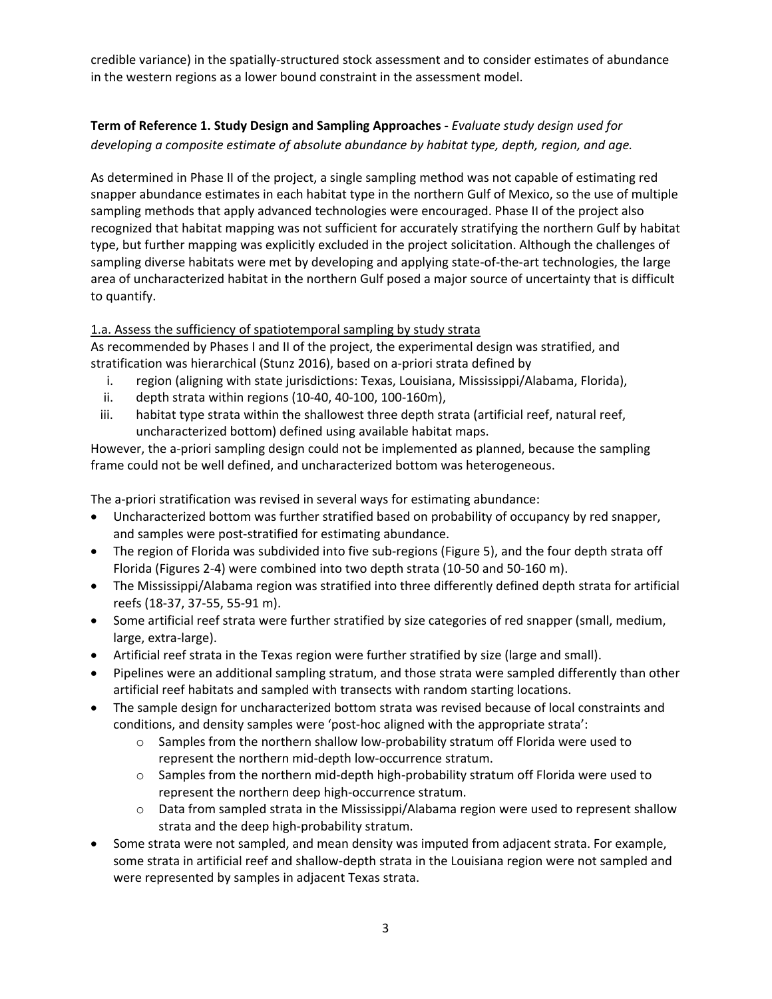credible variance) in the spatially-structured stock assessment and to consider estimates of abundance in the western regions as a lower bound constraint in the assessment model.

# **Term of Reference 1. Study Design and Sampling Approaches -** *Evaluate study design used for developing a composite estimate of absolute abundance by habitat type, depth, region, and age.*

As determined in Phase II of the project, a single sampling method was not capable of estimating red snapper abundance estimates in each habitat type in the northern Gulf of Mexico, so the use of multiple sampling methods that apply advanced technologies were encouraged. Phase II of the project also recognized that habitat mapping was not sufficient for accurately stratifying the northern Gulf by habitat type, but further mapping was explicitly excluded in the project solicitation. Although the challenges of sampling diverse habitats were met by developing and applying state-of-the-art technologies, the large area of uncharacterized habitat in the northern Gulf posed a major source of uncertainty that is difficult to quantify.

# 1.a. Assess the sufficiency of spatiotemporal sampling by study strata

As recommended by Phases I and II of the project, the experimental design was stratified, and stratification was hierarchical (Stunz 2016), based on a-priori strata defined by

- i. region (aligning with state jurisdictions: Texas, Louisiana, Mississippi/Alabama, Florida),
- ii. depth strata within regions (10-40, 40-100, 100-160m),
- iii. habitat type strata within the shallowest three depth strata (artificial reef, natural reef, uncharacterized bottom) defined using available habitat maps.

However, the a-priori sampling design could not be implemented as planned, because the sampling frame could not be well defined, and uncharacterized bottom was heterogeneous.

The a-priori stratification was revised in several ways for estimating abundance:

- Uncharacterized bottom was further stratified based on probability of occupancy by red snapper, and samples were post-stratified for estimating abundance.
- The region of Florida was subdivided into five sub-regions (Figure 5), and the four depth strata off Florida (Figures 2-4) were combined into two depth strata (10-50 and 50-160 m).
- The Mississippi/Alabama region was stratified into three differently defined depth strata for artificial reefs (18-37, 37-55, 55-91 m).
- Some artificial reef strata were further stratified by size categories of red snapper (small, medium, large, extra-large).
- Artificial reef strata in the Texas region were further stratified by size (large and small).
- Pipelines were an additional sampling stratum, and those strata were sampled differently than other artificial reef habitats and sampled with transects with random starting locations.
- The sample design for uncharacterized bottom strata was revised because of local constraints and conditions, and density samples were 'post-hoc aligned with the appropriate strata':
	- $\circ$  Samples from the northern shallow low-probability stratum off Florida were used to represent the northern mid-depth low-occurrence stratum.
	- $\circ$  Samples from the northern mid-depth high-probability stratum off Florida were used to represent the northern deep high-occurrence stratum.
	- $\circ$  Data from sampled strata in the Mississippi/Alabama region were used to represent shallow strata and the deep high-probability stratum.
- Some strata were not sampled, and mean density was imputed from adjacent strata. For example, some strata in artificial reef and shallow-depth strata in the Louisiana region were not sampled and were represented by samples in adjacent Texas strata.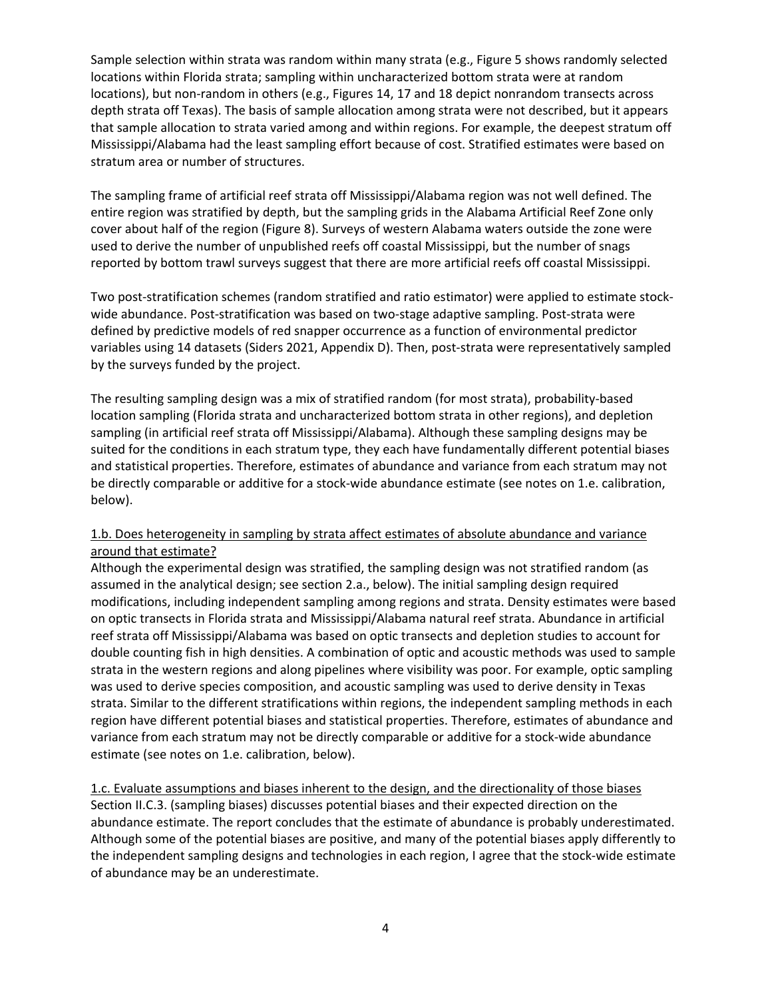Sample selection within strata was random within many strata (e.g., Figure 5 shows randomly selected locations within Florida strata; sampling within uncharacterized bottom strata were at random locations), but non-random in others (e.g., Figures 14, 17 and 18 depict nonrandom transects across depth strata off Texas). The basis of sample allocation among strata were not described, but it appears that sample allocation to strata varied among and within regions. For example, the deepest stratum off Mississippi/Alabama had the least sampling effort because of cost. Stratified estimates were based on stratum area or number of structures.

The sampling frame of artificial reef strata off Mississippi/Alabama region was not well defined. The entire region was stratified by depth, but the sampling grids in the Alabama Artificial Reef Zone only cover about half of the region (Figure 8). Surveys of western Alabama waters outside the zone were used to derive the number of unpublished reefs off coastal Mississippi, but the number of snags reported by bottom trawl surveys suggest that there are more artificial reefs off coastal Mississippi.

Two post-stratification schemes (random stratified and ratio estimator) were applied to estimate stockwide abundance. Post-stratification was based on two-stage adaptive sampling. Post-strata were defined by predictive models of red snapper occurrence as a function of environmental predictor variables using 14 datasets (Siders 2021, Appendix D). Then, post-strata were representatively sampled by the surveys funded by the project.

The resulting sampling design was a mix of stratified random (for most strata), probability-based location sampling (Florida strata and uncharacterized bottom strata in other regions), and depletion sampling (in artificial reef strata off Mississippi/Alabama). Although these sampling designs may be suited for the conditions in each stratum type, they each have fundamentally different potential biases and statistical properties. Therefore, estimates of abundance and variance from each stratum may not be directly comparable or additive for a stock-wide abundance estimate (see notes on 1.e. calibration, below).

# 1.b. Does heterogeneity in sampling by strata affect estimates of absolute abundance and variance around that estimate?

Although the experimental design was stratified, the sampling design was not stratified random (as assumed in the analytical design; see section 2.a., below). The initial sampling design required modifications, including independent sampling among regions and strata. Density estimates were based on optic transects in Florida strata and Mississippi/Alabama natural reef strata. Abundance in artificial reef strata off Mississippi/Alabama was based on optic transects and depletion studies to account for double counting fish in high densities. A combination of optic and acoustic methods was used to sample strata in the western regions and along pipelines where visibility was poor. For example, optic sampling was used to derive species composition, and acoustic sampling was used to derive density in Texas strata. Similar to the different stratifications within regions, the independent sampling methods in each region have different potential biases and statistical properties. Therefore, estimates of abundance and variance from each stratum may not be directly comparable or additive for a stock-wide abundance estimate (see notes on 1.e. calibration, below).

1.c. Evaluate assumptions and biases inherent to the design, and the directionality of those biases Section II.C.3. (sampling biases) discusses potential biases and their expected direction on the abundance estimate. The report concludes that the estimate of abundance is probably underestimated. Although some of the potential biases are positive, and many of the potential biases apply differently to the independent sampling designs and technologies in each region, I agree that the stock-wide estimate of abundance may be an underestimate.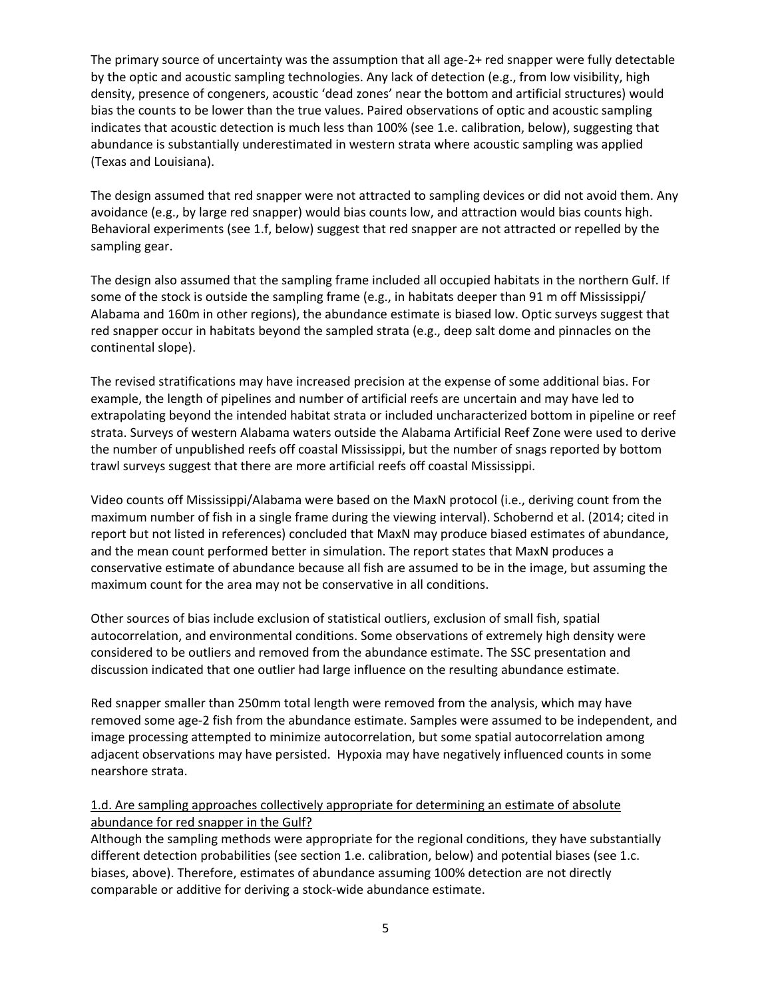The primary source of uncertainty was the assumption that all age-2+ red snapper were fully detectable by the optic and acoustic sampling technologies. Any lack of detection (e.g., from low visibility, high density, presence of congeners, acoustic 'dead zones' near the bottom and artificial structures) would bias the counts to be lower than the true values. Paired observations of optic and acoustic sampling indicates that acoustic detection is much less than 100% (see 1.e. calibration, below), suggesting that abundance is substantially underestimated in western strata where acoustic sampling was applied (Texas and Louisiana).

The design assumed that red snapper were not attracted to sampling devices or did not avoid them. Any avoidance (e.g., by large red snapper) would bias counts low, and attraction would bias counts high. Behavioral experiments (see 1.f, below) suggest that red snapper are not attracted or repelled by the sampling gear.

The design also assumed that the sampling frame included all occupied habitats in the northern Gulf. If some of the stock is outside the sampling frame (e.g., in habitats deeper than 91 m off Mississippi/ Alabama and 160m in other regions), the abundance estimate is biased low. Optic surveys suggest that red snapper occur in habitats beyond the sampled strata (e.g., deep salt dome and pinnacles on the continental slope).

The revised stratifications may have increased precision at the expense of some additional bias. For example, the length of pipelines and number of artificial reefs are uncertain and may have led to extrapolating beyond the intended habitat strata or included uncharacterized bottom in pipeline or reef strata. Surveys of western Alabama waters outside the Alabama Artificial Reef Zone were used to derive the number of unpublished reefs off coastal Mississippi, but the number of snags reported by bottom trawl surveys suggest that there are more artificial reefs off coastal Mississippi.

Video counts off Mississippi/Alabama were based on the MaxN protocol (i.e., deriving count from the maximum number of fish in a single frame during the viewing interval). Schobernd et al. (2014; cited in report but not listed in references) concluded that MaxN may produce biased estimates of abundance, and the mean count performed better in simulation. The report states that MaxN produces a conservative estimate of abundance because all fish are assumed to be in the image, but assuming the maximum count for the area may not be conservative in all conditions.

Other sources of bias include exclusion of statistical outliers, exclusion of small fish, spatial autocorrelation, and environmental conditions. Some observations of extremely high density were considered to be outliers and removed from the abundance estimate. The SSC presentation and discussion indicated that one outlier had large influence on the resulting abundance estimate.

Red snapper smaller than 250mm total length were removed from the analysis, which may have removed some age-2 fish from the abundance estimate. Samples were assumed to be independent, and image processing attempted to minimize autocorrelation, but some spatial autocorrelation among adjacent observations may have persisted. Hypoxia may have negatively influenced counts in some nearshore strata.

# 1.d. Are sampling approaches collectively appropriate for determining an estimate of absolute abundance for red snapper in the Gulf?

Although the sampling methods were appropriate for the regional conditions, they have substantially different detection probabilities (see section 1.e. calibration, below) and potential biases (see 1.c. biases, above). Therefore, estimates of abundance assuming 100% detection are not directly comparable or additive for deriving a stock-wide abundance estimate.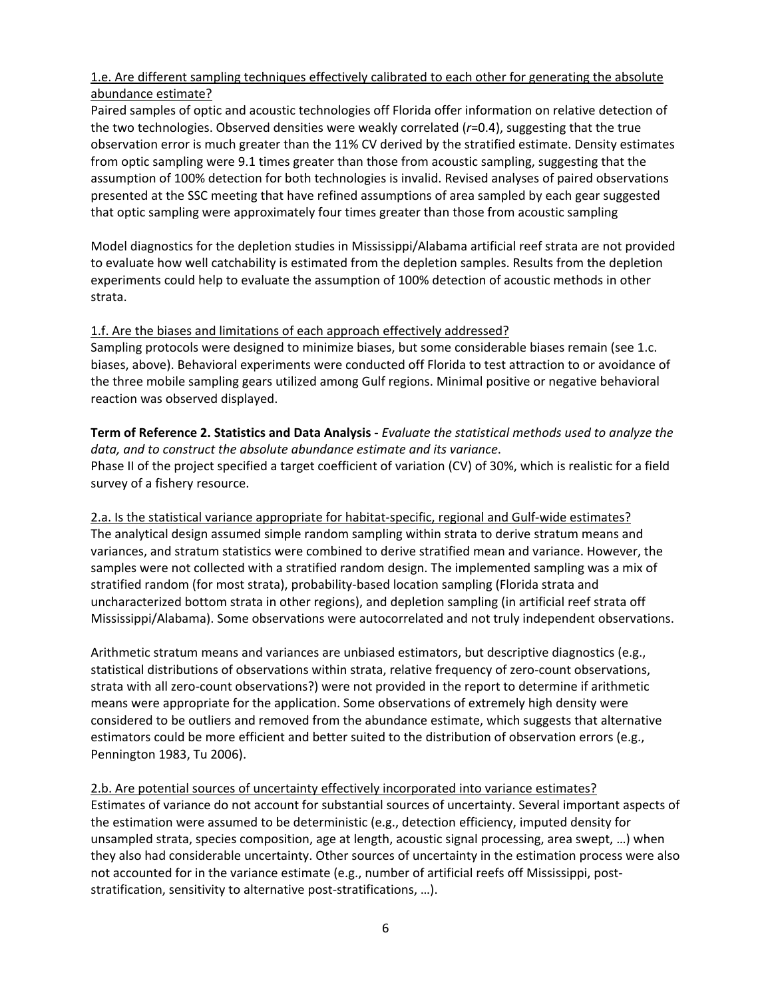# 1.e. Are different sampling techniques effectively calibrated to each other for generating the absolute abundance estimate?

Paired samples of optic and acoustic technologies off Florida offer information on relative detection of the two technologies. Observed densities were weakly correlated (*r*=0.4), suggesting that the true observation error is much greater than the 11% CV derived by the stratified estimate. Density estimates from optic sampling were 9.1 times greater than those from acoustic sampling, suggesting that the assumption of 100% detection for both technologies is invalid. Revised analyses of paired observations presented at the SSC meeting that have refined assumptions of area sampled by each gear suggested that optic sampling were approximately four times greater than those from acoustic sampling

Model diagnostics for the depletion studies in Mississippi/Alabama artificial reef strata are not provided to evaluate how well catchability is estimated from the depletion samples. Results from the depletion experiments could help to evaluate the assumption of 100% detection of acoustic methods in other strata.

# 1.f. Are the biases and limitations of each approach effectively addressed?

Sampling protocols were designed to minimize biases, but some considerable biases remain (see 1.c. biases, above). Behavioral experiments were conducted off Florida to test attraction to or avoidance of the three mobile sampling gears utilized among Gulf regions. Minimal positive or negative behavioral reaction was observed displayed.

**Term of Reference 2. Statistics and Data Analysis -** *Evaluate the statistical methods used to analyze the data, and to construct the absolute abundance estimate and its variance*. Phase II of the project specified a target coefficient of variation (CV) of 30%, which is realistic for a field survey of a fishery resource.

2.a. Is the statistical variance appropriate for habitat-specific, regional and Gulf-wide estimates? The analytical design assumed simple random sampling within strata to derive stratum means and variances, and stratum statistics were combined to derive stratified mean and variance. However, the samples were not collected with a stratified random design. The implemented sampling was a mix of stratified random (for most strata), probability-based location sampling (Florida strata and uncharacterized bottom strata in other regions), and depletion sampling (in artificial reef strata off Mississippi/Alabama). Some observations were autocorrelated and not truly independent observations.

Arithmetic stratum means and variances are unbiased estimators, but descriptive diagnostics (e.g., statistical distributions of observations within strata, relative frequency of zero-count observations, strata with all zero-count observations?) were not provided in the report to determine if arithmetic means were appropriate for the application. Some observations of extremely high density were considered to be outliers and removed from the abundance estimate, which suggests that alternative estimators could be more efficient and better suited to the distribution of observation errors (e.g., Pennington 1983, Tu 2006).

2.b. Are potential sources of uncertainty effectively incorporated into variance estimates? Estimates of variance do not account for substantial sources of uncertainty. Several important aspects of the estimation were assumed to be deterministic (e.g., detection efficiency, imputed density for unsampled strata, species composition, age at length, acoustic signal processing, area swept, …) when they also had considerable uncertainty. Other sources of uncertainty in the estimation process were also not accounted for in the variance estimate (e.g., number of artificial reefs off Mississippi, poststratification, sensitivity to alternative post-stratifications, …).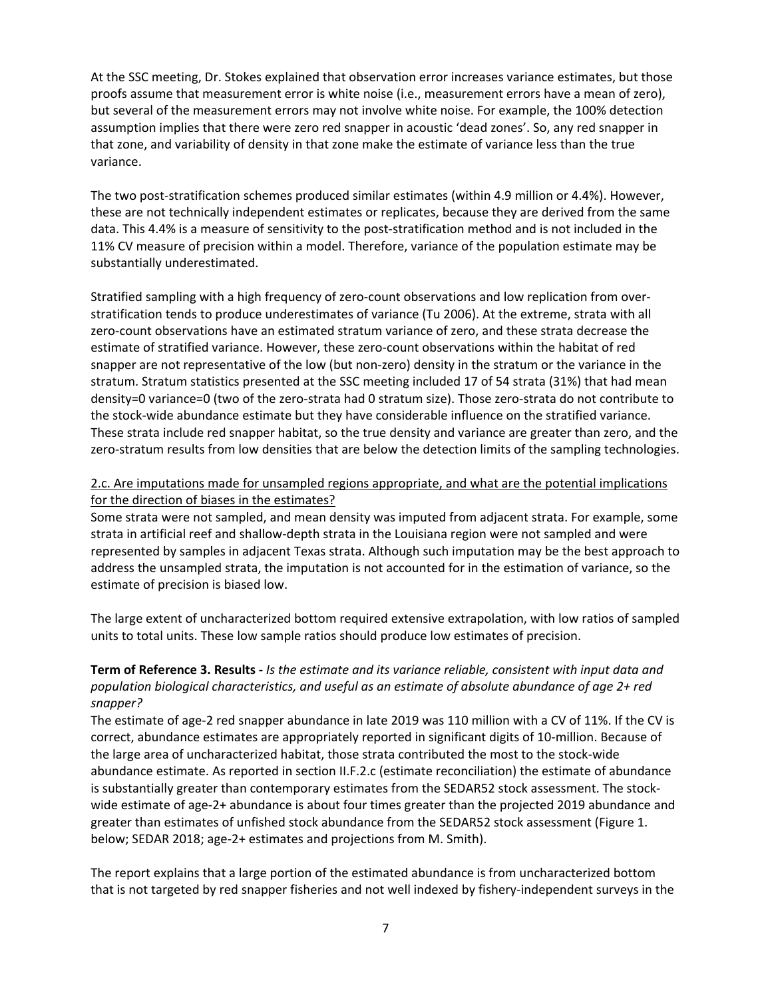At the SSC meeting, Dr. Stokes explained that observation error increases variance estimates, but those proofs assume that measurement error is white noise (i.e., measurement errors have a mean of zero), but several of the measurement errors may not involve white noise. For example, the 100% detection assumption implies that there were zero red snapper in acoustic 'dead zones'. So, any red snapper in that zone, and variability of density in that zone make the estimate of variance less than the true variance.

The two post-stratification schemes produced similar estimates (within 4.9 million or 4.4%). However, these are not technically independent estimates or replicates, because they are derived from the same data. This 4.4% is a measure of sensitivity to the post-stratification method and is not included in the 11% CV measure of precision within a model. Therefore, variance of the population estimate may be substantially underestimated.

Stratified sampling with a high frequency of zero-count observations and low replication from overstratification tends to produce underestimates of variance (Tu 2006). At the extreme, strata with all zero-count observations have an estimated stratum variance of zero, and these strata decrease the estimate of stratified variance. However, these zero-count observations within the habitat of red snapper are not representative of the low (but non-zero) density in the stratum or the variance in the stratum. Stratum statistics presented at the SSC meeting included 17 of 54 strata (31%) that had mean density=0 variance=0 (two of the zero-strata had 0 stratum size). Those zero-strata do not contribute to the stock-wide abundance estimate but they have considerable influence on the stratified variance. These strata include red snapper habitat, so the true density and variance are greater than zero, and the zero-stratum results from low densities that are below the detection limits of the sampling technologies.

#### 2.c. Are imputations made for unsampled regions appropriate, and what are the potential implications for the direction of biases in the estimates?

Some strata were not sampled, and mean density was imputed from adjacent strata. For example, some strata in artificial reef and shallow-depth strata in the Louisiana region were not sampled and were represented by samples in adjacent Texas strata. Although such imputation may be the best approach to address the unsampled strata, the imputation is not accounted for in the estimation of variance, so the estimate of precision is biased low.

The large extent of uncharacterized bottom required extensive extrapolation, with low ratios of sampled units to total units. These low sample ratios should produce low estimates of precision.

# **Term of Reference 3. Results -** *Is the estimate and its variance reliable, consistent with input data and population biological characteristics, and useful as an estimate of absolute abundance of age 2+ red snapper?*

The estimate of age-2 red snapper abundance in late 2019 was 110 million with a CV of 11%. If the CV is correct, abundance estimates are appropriately reported in significant digits of 10-million. Because of the large area of uncharacterized habitat, those strata contributed the most to the stock-wide abundance estimate. As reported in section II.F.2.c (estimate reconciliation) the estimate of abundance is substantially greater than contemporary estimates from the SEDAR52 stock assessment. The stockwide estimate of age-2+ abundance is about four times greater than the projected 2019 abundance and greater than estimates of unfished stock abundance from the SEDAR52 stock assessment (Figure 1. below; SEDAR 2018; age-2+ estimates and projections from M. Smith).

The report explains that a large portion of the estimated abundance is from uncharacterized bottom that is not targeted by red snapper fisheries and not well indexed by fishery-independent surveys in the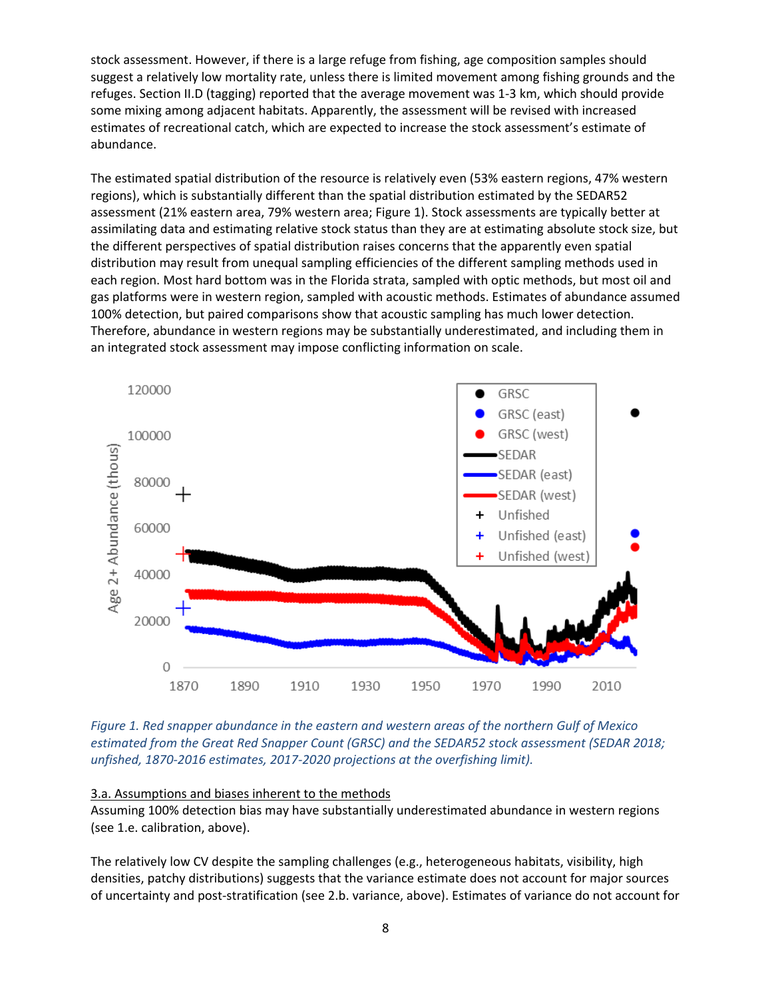stock assessment. However, if there is a large refuge from fishing, age composition samples should suggest a relatively low mortality rate, unless there is limited movement among fishing grounds and the refuges. Section II.D (tagging) reported that the average movement was 1-3 km, which should provide some mixing among adjacent habitats. Apparently, the assessment will be revised with increased estimates of recreational catch, which are expected to increase the stock assessment's estimate of abundance.

The estimated spatial distribution of the resource is relatively even (53% eastern regions, 47% western regions), which is substantially different than the spatial distribution estimated by the SEDAR52 assessment (21% eastern area, 79% western area; Figure 1). Stock assessments are typically better at assimilating data and estimating relative stock status than they are at estimating absolute stock size, but the different perspectives of spatial distribution raises concerns that the apparently even spatial distribution may result from unequal sampling efficiencies of the different sampling methods used in each region. Most hard bottom was in the Florida strata, sampled with optic methods, but most oil and gas platforms were in western region, sampled with acoustic methods. Estimates of abundance assumed 100% detection, but paired comparisons show that acoustic sampling has much lower detection. Therefore, abundance in western regions may be substantially underestimated, and including them in an integrated stock assessment may impose conflicting information on scale.



*Figure 1. Red snapper abundance in the eastern and western areas of the northern Gulf of Mexico estimated from the Great Red Snapper Count (GRSC) and the SEDAR52 stock assessment (SEDAR 2018; unfished, 1870-2016 estimates, 2017-2020 projections at the overfishing limit).*

#### 3.a. Assumptions and biases inherent to the methods

Assuming 100% detection bias may have substantially underestimated abundance in western regions (see 1.e. calibration, above).

The relatively low CV despite the sampling challenges (e.g., heterogeneous habitats, visibility, high densities, patchy distributions) suggests that the variance estimate does not account for major sources of uncertainty and post-stratification (see 2.b. variance, above). Estimates of variance do not account for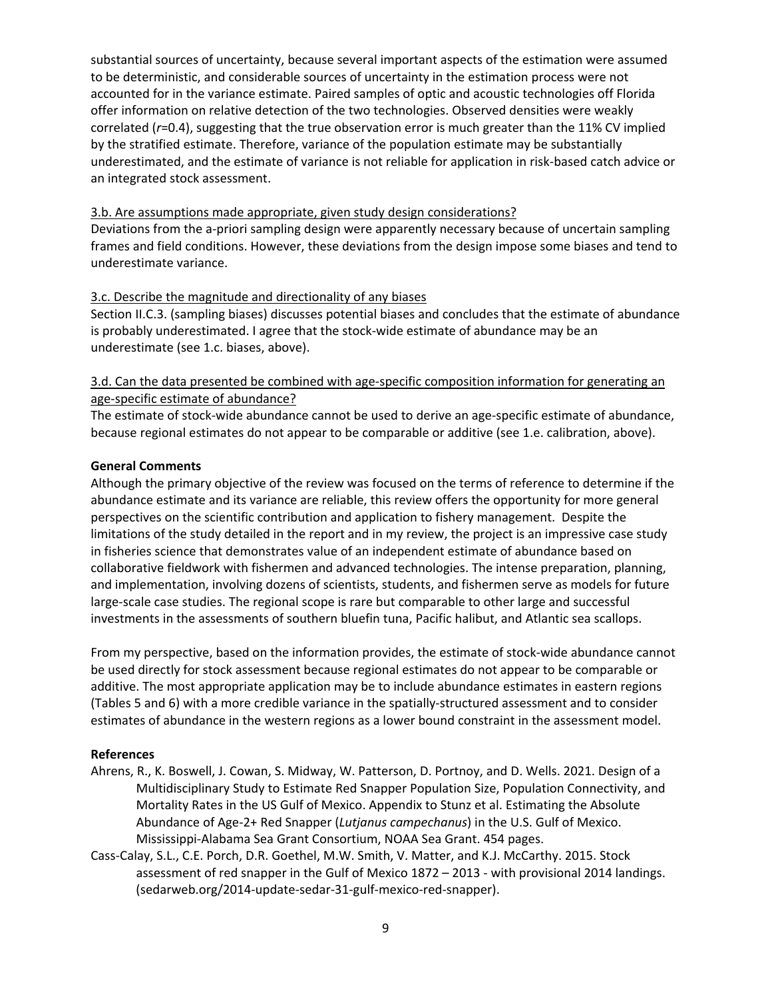substantial sources of uncertainty, because several important aspects of the estimation were assumed to be deterministic, and considerable sources of uncertainty in the estimation process were not accounted for in the variance estimate. Paired samples of optic and acoustic technologies off Florida offer information on relative detection of the two technologies. Observed densities were weakly correlated (*r*=0.4), suggesting that the true observation error is much greater than the 11% CV implied by the stratified estimate. Therefore, variance of the population estimate may be substantially underestimated, and the estimate of variance is not reliable for application in risk-based catch advice or an integrated stock assessment.

#### 3.b. Are assumptions made appropriate, given study design considerations?

Deviations from the a-priori sampling design were apparently necessary because of uncertain sampling frames and field conditions. However, these deviations from the design impose some biases and tend to underestimate variance.

#### 3.c. Describe the magnitude and directionality of any biases

Section II.C.3. (sampling biases) discusses potential biases and concludes that the estimate of abundance is probably underestimated. I agree that the stock-wide estimate of abundance may be an underestimate (see 1.c. biases, above).

### 3.d. Can the data presented be combined with age-specific composition information for generating an age-specific estimate of abundance?

The estimate of stock-wide abundance cannot be used to derive an age-specific estimate of abundance, because regional estimates do not appear to be comparable or additive (see 1.e. calibration, above).

#### **General Comments**

Although the primary objective of the review was focused on the terms of reference to determine if the abundance estimate and its variance are reliable, this review offers the opportunity for more general perspectives on the scientific contribution and application to fishery management. Despite the limitations of the study detailed in the report and in my review, the project is an impressive case study in fisheries science that demonstrates value of an independent estimate of abundance based on collaborative fieldwork with fishermen and advanced technologies. The intense preparation, planning, and implementation, involving dozens of scientists, students, and fishermen serve as models for future large-scale case studies. The regional scope is rare but comparable to other large and successful investments in the assessments of southern bluefin tuna, Pacific halibut, and Atlantic sea scallops.

From my perspective, based on the information provides, the estimate of stock-wide abundance cannot be used directly for stock assessment because regional estimates do not appear to be comparable or additive. The most appropriate application may be to include abundance estimates in eastern regions (Tables 5 and 6) with a more credible variance in the spatially-structured assessment and to consider estimates of abundance in the western regions as a lower bound constraint in the assessment model.

#### **References**

- Ahrens, R., K. Boswell, J. Cowan, S. Midway, W. Patterson, D. Portnoy, and D. Wells. 2021. Design of a Multidisciplinary Study to Estimate Red Snapper Population Size, Population Connectivity, and Mortality Rates in the US Gulf of Mexico. Appendix to Stunz et al. Estimating the Absolute Abundance of Age-2+ Red Snapper (*Lutjanus campechanus*) in the U.S. Gulf of Mexico. Mississippi-Alabama Sea Grant Consortium, NOAA Sea Grant. 454 pages.
- Cass-Calay, S.L., C.E. Porch, D.R. Goethel, M.W. Smith, V. Matter, and K.J. McCarthy. 2015. Stock assessment of red snapper in the Gulf of Mexico 1872 – 2013 - with provisional 2014 landings. (sedarweb.org/2014-update-sedar-31-gulf-mexico-red-snapper).